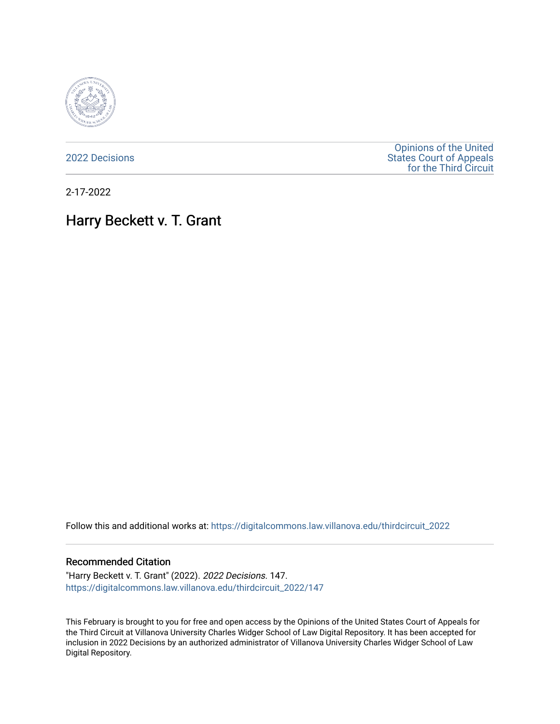

[2022 Decisions](https://digitalcommons.law.villanova.edu/thirdcircuit_2022)

[Opinions of the United](https://digitalcommons.law.villanova.edu/thirdcircuit)  [States Court of Appeals](https://digitalcommons.law.villanova.edu/thirdcircuit)  [for the Third Circuit](https://digitalcommons.law.villanova.edu/thirdcircuit) 

2-17-2022

# Harry Beckett v. T. Grant

Follow this and additional works at: [https://digitalcommons.law.villanova.edu/thirdcircuit\\_2022](https://digitalcommons.law.villanova.edu/thirdcircuit_2022?utm_source=digitalcommons.law.villanova.edu%2Fthirdcircuit_2022%2F147&utm_medium=PDF&utm_campaign=PDFCoverPages) 

#### Recommended Citation

"Harry Beckett v. T. Grant" (2022). 2022 Decisions. 147. [https://digitalcommons.law.villanova.edu/thirdcircuit\\_2022/147](https://digitalcommons.law.villanova.edu/thirdcircuit_2022/147?utm_source=digitalcommons.law.villanova.edu%2Fthirdcircuit_2022%2F147&utm_medium=PDF&utm_campaign=PDFCoverPages)

This February is brought to you for free and open access by the Opinions of the United States Court of Appeals for the Third Circuit at Villanova University Charles Widger School of Law Digital Repository. It has been accepted for inclusion in 2022 Decisions by an authorized administrator of Villanova University Charles Widger School of Law Digital Repository.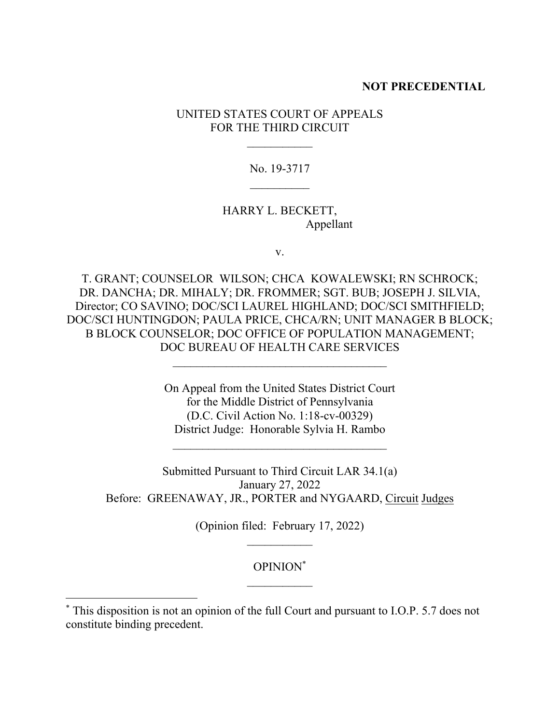#### **NOT PRECEDENTIAL**

# UNITED STATES COURT OF APPEALS FOR THE THIRD CIRCUIT

No. 19-3717  $\mathcal{L}_\text{max}$ 

# HARRY L. BECKETT, Appellant

v.

T. GRANT; COUNSELOR WILSON; CHCA KOWALEWSKI; RN SCHROCK; DR. DANCHA; DR. MIHALY; DR. FROMMER; SGT. BUB; JOSEPH J. SILVIA, Director; CO SAVINO; DOC/SCI LAUREL HIGHLAND; DOC/SCI SMITHFIELD; DOC/SCI HUNTINGDON; PAULA PRICE, CHCA/RN; UNIT MANAGER B BLOCK; B BLOCK COUNSELOR; DOC OFFICE OF POPULATION MANAGEMENT; DOC BUREAU OF HEALTH CARE SERVICES

> On Appeal from the United States District Court for the Middle District of Pennsylvania (D.C. Civil Action No. 1:18-cv-00329) District Judge: Honorable Sylvia H. Rambo

 $\mathcal{L}_\text{max}$ 

Submitted Pursuant to Third Circuit LAR 34.1(a) January 27, 2022 Before: GREENAWAY, JR., PORTER and NYGAARD, Circuit Judges

(Opinion filed: February 17, 2022)

# OPINION\*  $\mathcal{L}_\text{max}$

<sup>\*</sup> This disposition is not an opinion of the full Court and pursuant to I.O.P. 5.7 does not constitute binding precedent.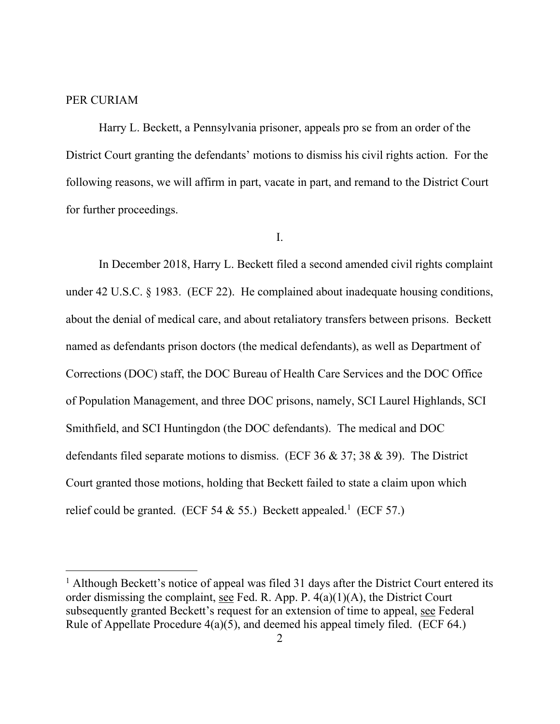#### PER CURIAM

Harry L. Beckett, a Pennsylvania prisoner, appeals pro se from an order of the District Court granting the defendants' motions to dismiss his civil rights action. For the following reasons, we will affirm in part, vacate in part, and remand to the District Court for further proceedings.

I.

In December 2018, Harry L. Beckett filed a second amended civil rights complaint under 42 U.S.C. § 1983. (ECF 22). He complained about inadequate housing conditions, about the denial of medical care, and about retaliatory transfers between prisons. Beckett named as defendants prison doctors (the medical defendants), as well as Department of Corrections (DOC) staff, the DOC Bureau of Health Care Services and the DOC Office of Population Management, and three DOC prisons, namely, SCI Laurel Highlands, SCI Smithfield, and SCI Huntingdon (the DOC defendants). The medical and DOC defendants filed separate motions to dismiss. (ECF 36 & 37; 38 & 39). The District Court granted those motions, holding that Beckett failed to state a claim upon which relief could be granted. (ECF 54 & 55.) Beckett appealed.<sup>1</sup> (ECF 57.)

 $<sup>1</sup>$  Although Beckett's notice of appeal was filed 31 days after the District Court entered its</sup> order dismissing the complaint, see Fed. R. App. P. 4(a)(1)(A), the District Court subsequently granted Beckett's request for an extension of time to appeal, see Federal Rule of Appellate Procedure  $4(a)(5)$ , and deemed his appeal timely filed. (ECF 64.)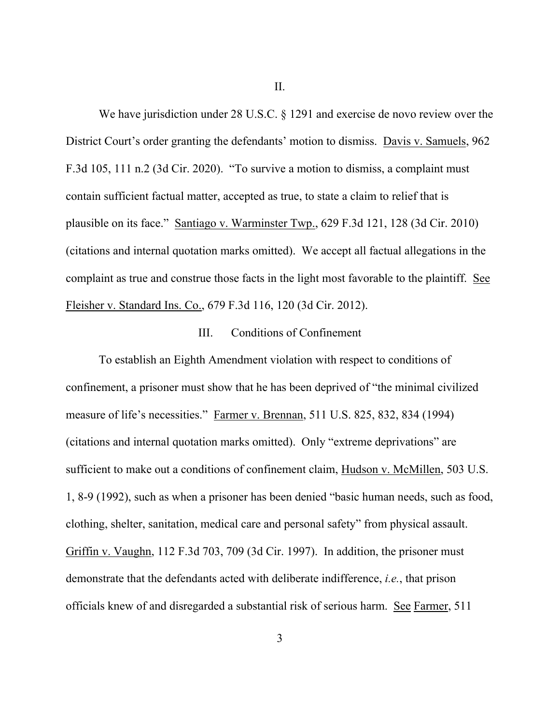II.

We have jurisdiction under 28 U.S.C. § 1291 and exercise de novo review over the District Court's order granting the defendants' motion to dismiss. Davis v. Samuels, 962 F.3d 105, 111 n.2 (3d Cir. 2020). "To survive a motion to dismiss, a complaint must contain sufficient factual matter, accepted as true, to state a claim to relief that is plausible on its face." Santiago v. Warminster Twp., 629 F.3d 121, 128 (3d Cir. 2010) (citations and internal quotation marks omitted). We accept all factual allegations in the complaint as true and construe those facts in the light most favorable to the plaintiff. See Fleisher v. Standard Ins. Co., 679 F.3d 116, 120 (3d Cir. 2012).

#### III. Conditions of Confinement

To establish an Eighth Amendment violation with respect to conditions of confinement, a prisoner must show that he has been deprived of "the minimal civilized measure of life's necessities." Farmer v. Brennan, 511 U.S. 825, 832, 834 (1994) (citations and internal quotation marks omitted). Only "extreme deprivations" are sufficient to make out a conditions of confinement claim, Hudson v. McMillen, 503 U.S. 1, 8-9 (1992), such as when a prisoner has been denied "basic human needs, such as food, clothing, shelter, sanitation, medical care and personal safety" from physical assault. Griffin v. Vaughn, 112 F.3d 703, 709 (3d Cir. 1997). In addition, the prisoner must demonstrate that the defendants acted with deliberate indifference, *i.e.*, that prison officials knew of and disregarded a substantial risk of serious harm. See Farmer, 511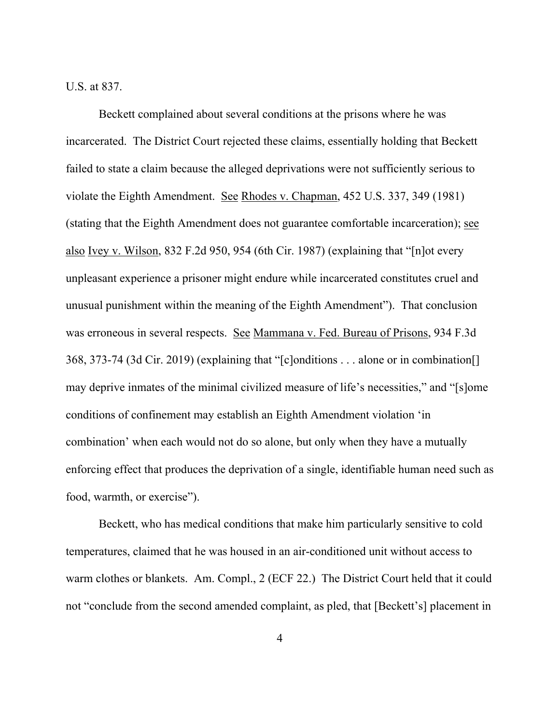U.S. at 837.

Beckett complained about several conditions at the prisons where he was incarcerated. The District Court rejected these claims, essentially holding that Beckett failed to state a claim because the alleged deprivations were not sufficiently serious to violate the Eighth Amendment. See Rhodes v. Chapman, 452 U.S. 337, 349 (1981) (stating that the Eighth Amendment does not guarantee comfortable incarceration); see also Ivey v. Wilson, 832 F.2d 950, 954 (6th Cir. 1987) (explaining that "[n]ot every unpleasant experience a prisoner might endure while incarcerated constitutes cruel and unusual punishment within the meaning of the Eighth Amendment"). That conclusion was erroneous in several respects. See Mammana v. Fed. Bureau of Prisons, 934 F.3d 368, 373-74 (3d Cir. 2019) (explaining that "[c]onditions . . . alone or in combination[] may deprive inmates of the minimal civilized measure of life's necessities," and "[s]ome conditions of confinement may establish an Eighth Amendment violation 'in combination' when each would not do so alone, but only when they have a mutually enforcing effect that produces the deprivation of a single, identifiable human need such as food, warmth, or exercise").

Beckett, who has medical conditions that make him particularly sensitive to cold temperatures, claimed that he was housed in an air-conditioned unit without access to warm clothes or blankets. Am. Compl., 2 (ECF 22.) The District Court held that it could not "conclude from the second amended complaint, as pled, that [Beckett's] placement in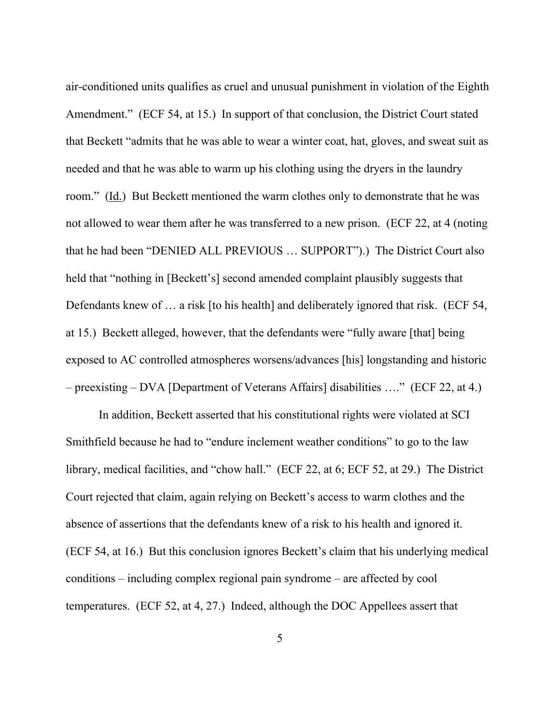air-conditioned units qualifies as cruel and unusual punishment in violation of the Eighth Amendment." (ECF 54, at 15.) In support of that conclusion, the District Court stated that Beckett "admits that he was able to wear a winter coat, hat, gloves, and sweat suit as needed and that he was able to warm up his clothing using the dryers in the laundry room." (Id.) But Beckett mentioned the warm clothes only to demonstrate that he was not allowed to wear them after he was transferred to a new prison. (ECF 22, at 4 (noting that he had been "DENIED ALL PREVIOUS … SUPPORT").) The District Court also held that "nothing in [Beckett's] second amended complaint plausibly suggests that Defendants knew of ... a risk [to his health] and deliberately ignored that risk. (ECF 54, at 15.) Beckett alleged, however, that the defendants were "fully aware [that] being exposed to AC controlled atmospheres worsens/advances [his] longstanding and historic – preexisting – DVA [Department of Veterans Affairs] disabilities …." (ECF 22, at 4.)

In addition, Beckett asserted that his constitutional rights were violated at SCI Smithfield because he had to "endure inclement weather conditions" to go to the law library, medical facilities, and "chow hall." (ECF 22, at 6; ECF 52, at 29.) The District Court rejected that claim, again relying on Beckett's access to warm clothes and the absence of assertions that the defendants knew of a risk to his health and ignored it. (ECF 54, at 16.) But this conclusion ignores Beckett's claim that his underlying medical conditions – including complex regional pain syndrome – are affected by cool temperatures. (ECF 52, at 4, 27.) Indeed, although the DOC Appellees assert that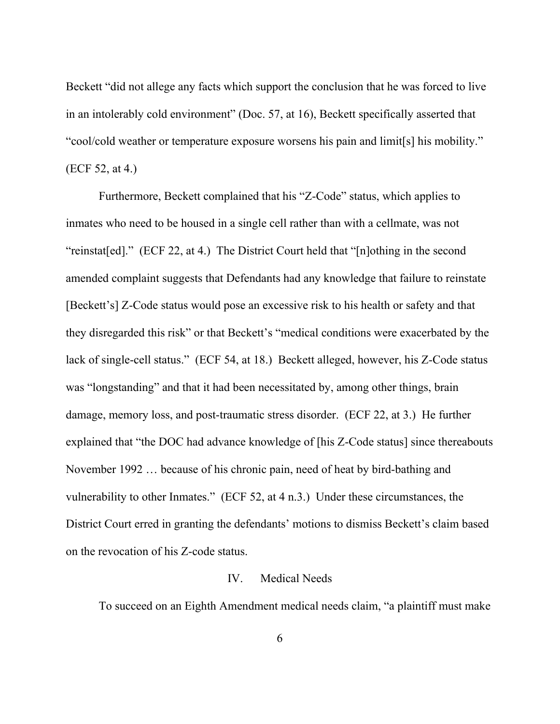Beckett "did not allege any facts which support the conclusion that he was forced to live in an intolerably cold environment" (Doc. 57, at 16), Beckett specifically asserted that "cool/cold weather or temperature exposure worsens his pain and limit[s] his mobility." (ECF 52, at 4.)

Furthermore, Beckett complained that his "Z-Code" status, which applies to inmates who need to be housed in a single cell rather than with a cellmate, was not "reinstat[ed]." (ECF 22, at 4.) The District Court held that "[n]othing in the second amended complaint suggests that Defendants had any knowledge that failure to reinstate [Beckett's] Z-Code status would pose an excessive risk to his health or safety and that they disregarded this risk" or that Beckett's "medical conditions were exacerbated by the lack of single-cell status." (ECF 54, at 18.) Beckett alleged, however, his Z-Code status was "longstanding" and that it had been necessitated by, among other things, brain damage, memory loss, and post-traumatic stress disorder. (ECF 22, at 3.) He further explained that "the DOC had advance knowledge of [his Z-Code status] since thereabouts November 1992 … because of his chronic pain, need of heat by bird-bathing and vulnerability to other Inmates." (ECF 52, at 4 n.3.) Under these circumstances, the District Court erred in granting the defendants' motions to dismiss Beckett's claim based on the revocation of his Z-code status.

# IV. Medical Needs

To succeed on an Eighth Amendment medical needs claim, "a plaintiff must make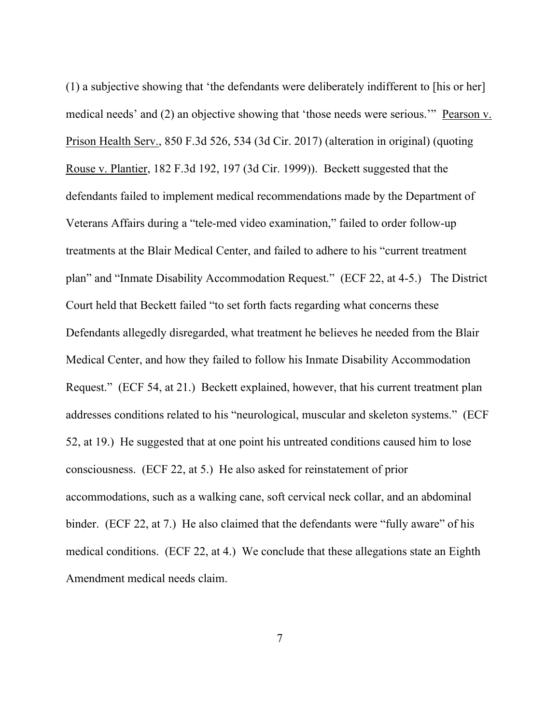(1) a subjective showing that 'the defendants were deliberately indifferent to [his or her] medical needs' and (2) an objective showing that 'those needs were serious.'" Pearson v. Prison Health Serv., 850 F.3d 526, 534 (3d Cir. 2017) (alteration in original) (quoting Rouse v. Plantier, 182 F.3d 192, 197 (3d Cir. 1999)). Beckett suggested that the defendants failed to implement medical recommendations made by the Department of Veterans Affairs during a "tele-med video examination," failed to order follow-up treatments at the Blair Medical Center, and failed to adhere to his "current treatment plan" and "Inmate Disability Accommodation Request." (ECF 22, at 4-5.) The District Court held that Beckett failed "to set forth facts regarding what concerns these Defendants allegedly disregarded, what treatment he believes he needed from the Blair Medical Center, and how they failed to follow his Inmate Disability Accommodation Request." (ECF 54, at 21.) Beckett explained, however, that his current treatment plan addresses conditions related to his "neurological, muscular and skeleton systems." (ECF 52, at 19.) He suggested that at one point his untreated conditions caused him to lose consciousness. (ECF 22, at 5.) He also asked for reinstatement of prior accommodations, such as a walking cane, soft cervical neck collar, and an abdominal binder. (ECF 22, at 7.) He also claimed that the defendants were "fully aware" of his medical conditions. (ECF 22, at 4.) We conclude that these allegations state an Eighth Amendment medical needs claim.

7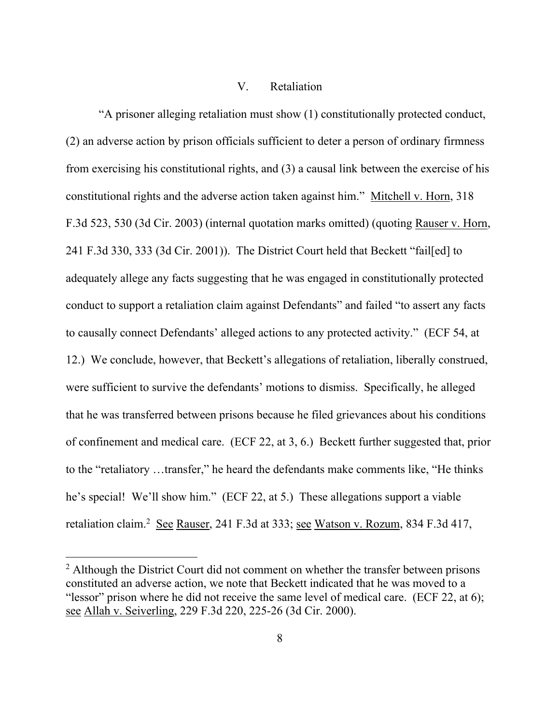# V. Retaliation

"A prisoner alleging retaliation must show (1) constitutionally protected conduct, (2) an adverse action by prison officials sufficient to deter a person of ordinary firmness from exercising his constitutional rights, and (3) a causal link between the exercise of his constitutional rights and the adverse action taken against him." Mitchell v. Horn, 318 F.3d 523, 530 (3d Cir. 2003) (internal quotation marks omitted) (quoting Rauser v. Horn, 241 F.3d 330, 333 (3d Cir. 2001)). The District Court held that Beckett "fail[ed] to adequately allege any facts suggesting that he was engaged in constitutionally protected conduct to support a retaliation claim against Defendants" and failed "to assert any facts to causally connect Defendants' alleged actions to any protected activity." (ECF 54, at 12.) We conclude, however, that Beckett's allegations of retaliation, liberally construed, were sufficient to survive the defendants' motions to dismiss. Specifically, he alleged that he was transferred between prisons because he filed grievances about his conditions of confinement and medical care. (ECF 22, at 3, 6.) Beckett further suggested that, prior to the "retaliatory …transfer," he heard the defendants make comments like, "He thinks he's special! We'll show him." (ECF 22, at 5.) These allegations support a viable retaliation claim.<sup>2</sup> See Rauser, 241 F.3d at 333; see Watson v. Rozum, 834 F.3d 417,

<sup>&</sup>lt;sup>2</sup> Although the District Court did not comment on whether the transfer between prisons constituted an adverse action, we note that Beckett indicated that he was moved to a "lessor" prison where he did not receive the same level of medical care. (ECF 22, at 6); see Allah v. Seiverling, 229 F.3d 220, 225-26 (3d Cir. 2000).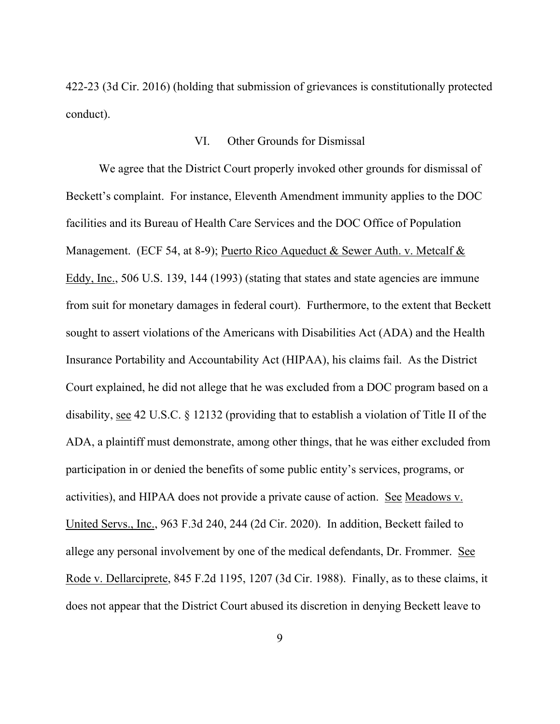422-23 (3d Cir. 2016) (holding that submission of grievances is constitutionally protected conduct).

# VI. Other Grounds for Dismissal

We agree that the District Court properly invoked other grounds for dismissal of Beckett's complaint. For instance, Eleventh Amendment immunity applies to the DOC facilities and its Bureau of Health Care Services and the DOC Office of Population Management. (ECF 54, at 8-9); Puerto Rico Aqueduct & Sewer Auth. v. Metcalf & Eddy, Inc., 506 U.S. 139, 144 (1993) (stating that states and state agencies are immune from suit for monetary damages in federal court). Furthermore, to the extent that Beckett sought to assert violations of the Americans with Disabilities Act (ADA) and the Health Insurance Portability and Accountability Act (HIPAA), his claims fail. As the District Court explained, he did not allege that he was excluded from a DOC program based on a disability, see 42 U.S.C. § 12132 (providing that to establish a violation of Title II of the ADA, a plaintiff must demonstrate, among other things, that he was either excluded from participation in or denied the benefits of some public entity's services, programs, or activities), and HIPAA does not provide a private cause of action. See Meadows v. United Servs., Inc., 963 F.3d 240, 244 (2d Cir. 2020). In addition, Beckett failed to allege any personal involvement by one of the medical defendants, Dr. Frommer. See Rode v. Dellarciprete, 845 F.2d 1195, 1207 (3d Cir. 1988). Finally, as to these claims, it does not appear that the District Court abused its discretion in denying Beckett leave to